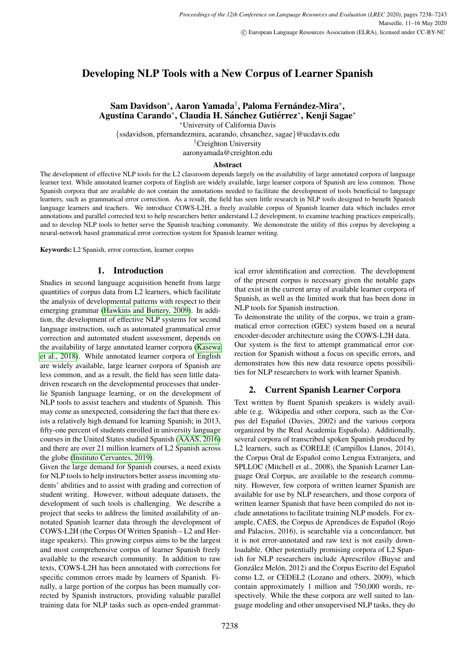# Developing NLP Tools with a New Corpus of Learner Spanish

Sam Davidson\*, Aaron Yamada<sup>†</sup>, Paloma Fernández-Mira\*, Agustina Carando\*, Claudia H. Sánchez Gutiérrez\*, Kenji Sagae\*

<sup>∗</sup>University of California Davis

{ssdavidson, pfernandezmira, acarando, chsanchez, sagae}@ucdavis.edu †Creighton University

aaronyamada@creighton.edu

# Abstract

The development of effective NLP tools for the L2 classroom depends largely on the availability of large annotated corpora of language learner text. While annotated learner corpora of English are widely available, large learner corpora of Spanish are less common. Those Spanish corpora that are available do not contain the annotations needed to facilitate the development of tools beneficial to language learners, such as grammatical error correction. As a result, the field has seen little research in NLP tools designed to benefit Spanish language learners and teachers. We introduce COWS-L2H, a freely available corpus of Spanish learner data which includes error annotations and parallel corrected text to help researchers better understand L2 development, to examine teaching practices empirically, and to develop NLP tools to better serve the Spanish teaching community. We demonstrate the utility of this corpus by developing a neural-network based grammatical error correction system for Spanish learner writing.

Keywords: L2 Spanish, error correction, learner corpus

# 1. Introduction

Studies in second language acquisition benefit from large quantities of corpus data from L2 learners, which facilitate the analysis of developmental patterns with respect to their emerging grammar [\(Hawkins and Buttery, 2009\)](#page-4-0). In addition, the development of effective NLP systems for second language instruction, such as automated grammatical error correction and automated student assessment, depends on the availability of large annotated learner corpora [\(Kasewa](#page-4-1) [et al., 2018\)](#page-4-1). While annotated learner corpora of English are widely available, large learner corpora of Spanish are less common, and as a result, the field has seen little datadriven research on the developmental processes that underlie Spanish language learning, or on the development of NLP tools to assist teachers and students of Spanish. This may come as unexpected, considering the fact that there exists a relatively high demand for learning Spanish; in 2013, fifty-one percent of students enrolled in university language courses in the United States studied Spanish [\(AAAS, 2016\)](#page-4-2) and there are over 21 million learners of L2 Spanish across the globe [\(Instituto Cervantes, 2019\)](#page-4-3).

Given the large demand for Spanish courses, a need exists for NLP tools to help instructors better assess incoming students' abilities and to assist with grading and correction of student writing. However, without adequate datasets, the development of such tools is challenging. We describe a project that seeks to address the limited availability of annotated Spanish learner data through the development of COWS-L2H (the Corpus Of Written Spanish – L2 and Heritage speakers). This growing corpus aims to be the largest and most comprehensive corpus of learner Spanish freely available to the research community. In addition to raw texts, COWS-L2H has been annotated with corrections for specific common errors made by learners of Spanish. Finally, a large portion of the corpus has been manually corrected by Spanish instructors, providing valuable parallel training data for NLP tasks such as open-ended grammatical error identification and correction. The development of the present corpus is necessary given the notable gaps that exist in the current array of available learner corpora of Spanish, as well as the limited work that has been done in NLP tools for Spanish instruction.

To demonstrate the utility of the corpus, we train a grammatical error correction (GEC) system based on a neural encoder-decoder architecture using the COWS-L2H data. Our system is the first to attempt grammatical error correction for Spanish without a focus on specific errors, and demonstrates how this new data resource opens possibilities for NLP researchers to work with learner Spanish.

# 2. Current Spanish Learner Corpora

Text written by fluent Spanish speakers is widely available (e.g. Wikipedia and other corpora, such as the Corpus del Español (Davies, 2002) and the various corpora organized by the Real Academia Española). Additionally, several corpora of transcribed spoken Spanish produced by L2 learners, such as CORELE (Campillos Llanos, 2014), the Corpus Oral de Español como Lengua Extranjera, and SPLLOC (Mitchell et al., 2008), the Spanish Learner Language Oral Corpus, are available to the research community. However, few corpora of written learner Spanish are available for use by NLP researchers, and those corpora of written learner Spanish that have been compiled do not include annotations to facilitate training NLP models. For example, CAES, the Corpus de Aprendices de Español (Rojo and Palacios, 2016), is searchable via a concordancer, but it is not error-annotated and raw text is not easily downloadable. Other potentially promising corpora of L2 Spanish for NLP researchers include Aprescrilov (Buyse and González Melón, 2012) and the Corpus Escrito del Español como L2, or CEDEL2 (Lozano and others, 2009), which contain approximately 1 million and 750,000 words, respectively. While the these corpora are well suited to language modeling and other unsupervised NLP tasks, they do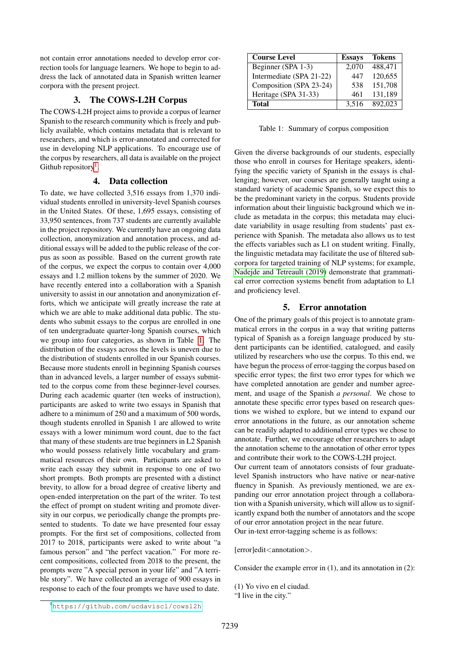not contain error annotations needed to develop error correction tools for language learners. We hope to begin to address the lack of annotated data in Spanish written learner corpora with the present project.

# 3. The COWS-L2H Corpus

The COWS-L2H project aims to provide a corpus of learner Spanish to the research community which is freely and publicly available, which contains metadata that is relevant to researchers, and which is error-annotated and corrected for use in developing NLP applications. To encourage use of the corpus by researchers, all data is available on the project Github repository<sup>[1](#page-1-0)</sup>.

### 4. Data collection

To date, we have collected 3,516 essays from 1,370 individual students enrolled in university-level Spanish courses in the United States. Of these, 1,695 essays, consisting of 33,950 sentences, from 737 students are currently available in the project repository. We currently have an ongoing data collection, anonymization and annotation process, and additional essays will be added to the public release of the corpus as soon as possible. Based on the current growth rate of the corpus, we expect the corpus to contain over 4,000 essays and 1.2 million tokens by the summer of 2020. We have recently entered into a collaboration with a Spanish university to assist in our annotation and anonymization efforts, which we anticipate will greatly increase the rate at which we are able to make additional data public. The students who submit essays to the corpus are enrolled in one of ten undergraduate quarter-long Spanish courses, which we group into four categories, as shown in Table [1.](#page-1-1) The distribution of the essays across the levels is uneven due to the distribution of students enrolled in our Spanish courses. Because more students enroll in beginning Spanish courses than in advanced levels, a larger number of essays submitted to the corpus come from these beginner-level courses. During each academic quarter (ten weeks of instruction), participants are asked to write two essays in Spanish that adhere to a minimum of 250 and a maximum of 500 words, though students enrolled in Spanish 1 are allowed to write essays with a lower minimum word count, due to the fact that many of these students are true beginners in L2 Spanish who would possess relatively little vocabulary and grammatical resources of their own. Participants are asked to write each essay they submit in response to one of two short prompts. Both prompts are presented with a distinct brevity, to allow for a broad degree of creative liberty and open-ended interpretation on the part of the writer. To test the effect of prompt on student writing and promote diversity in our corpus, we periodically change the prompts presented to students. To date we have presented four essay prompts. For the first set of compositions, collected from 2017 to 2018, participants were asked to write about "a famous person" and "the perfect vacation." For more recent compositions, collected from 2018 to the present, the prompts were "A special person in your life" and "A terrible story". We have collected an average of 900 essays in response to each of the four prompts we have used to date.

| <b>Course Level</b>      | <b>Essays</b> | <b>Tokens</b> |
|--------------------------|---------------|---------------|
| Beginner (SPA 1-3)       | 2.070         | 488,471       |
| Intermediate (SPA 21-22) | 447           | 120,655       |
| Composition (SPA 23-24)  | 538           | 151,708       |
| Heritage (SPA 31-33)     | 461           | 131,189       |
| <b>Total</b>             | 3,516         | 892,023       |

<span id="page-1-1"></span>Table 1: Summary of corpus composition

Given the diverse backgrounds of our students, especially those who enroll in courses for Heritage speakers, identifying the specific variety of Spanish in the essays is challenging; however, our courses are generally taught using a standard variety of academic Spanish, so we expect this to be the predominant variety in the corpus. Students provide information about their linguistic background which we include as metadata in the corpus; this metadata may elucidate variability in usage resulting from students' past experience with Spanish. The metadata also allows us to test the effects variables such as L1 on student writing. Finally, the linguistic metadata may facilitate the use of filtered subcorpora for targeted training of NLP systems; for example, [Nadejde and Tetreault \(2019\)](#page-4-4) demonstrate that grammatical error correction systems benefit from adaptation to L1 and proficiency level.

# 5. Error annotation

One of the primary goals of this project is to annotate grammatical errors in the corpus in a way that writing patterns typical of Spanish as a foreign language produced by student participants can be identified, catalogued, and easily utilized by researchers who use the corpus. To this end, we have begun the process of error-tagging the corpus based on specific error types; the first two error types for which we have completed annotation are gender and number agreement, and usage of the Spanish *a personal*. We chose to annotate these specific error types based on research questions we wished to explore, but we intend to expand our error annotations in the future, as our annotation scheme can be readily adapted to additional error types we chose to annotate. Further, we encourage other researchers to adapt the annotation scheme to the annotation of other error types and contribute their work to the COWS-L2H project. Our current team of annotators consists of four graduatelevel Spanish instructors who have native or near-native fluency in Spanish. As previously mentioned, we are expanding our error annotation project through a collaboration with a Spanish university, which will allow us to significantly expand both the number of annotators and the scope of our error annotation project in the near future. Our in-text error-tagging scheme is as follows:

[error]edit<annotation>.

Consider the example error in (1), and its annotation in (2):

(1) Yo vivo en el ciudad.

<sup>&</sup>quot;I live in the city."

<span id="page-1-0"></span><sup>1</sup><https://github.com/ucdaviscl/cowsl2h>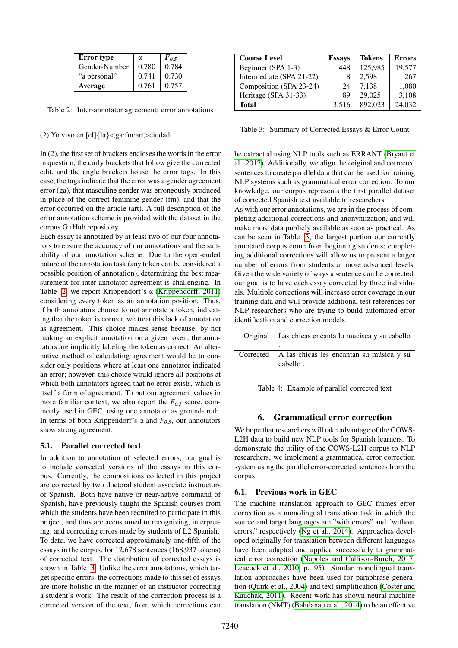| <b>Error</b> type | α     | $F_{0.5}$ |
|-------------------|-------|-----------|
| Gender-Number     | 0.780 | 0.784     |
| "a personal"      | 0.741 | 0.730     |
| Average           | 0.761 | 0.757     |

<span id="page-2-0"></span>Table 2: Inter-annotator agreement: error annotations

(2) Yo vivo en  $\text{[el]}$ {la}<ga:fm:art>ciudad.

In (2), the first set of brackets encloses the words in the error in question, the curly brackets that follow give the corrected edit, and the angle brackets house the error tags. In this case, the tags indicate that the error was a gender agreement error (ga), that masculine gender was erroneously produced in place of the correct feminine gender (fm), and that the error occurred on the article (art). A full description of the error annotation scheme is provided with the dataset in the corpus GitHub repository.

Each essay is annotated by at least two of our four annotators to ensure the accuracy of our annotations and the suitability of our annotation scheme. Due to the open-ended nature of the annotation task (any token can be considered a possible position of annotation), determining the best measurement for inter-annotator agreement is challenging. In Table [2,](#page-2-0) we report Krippendorf's  $\alpha$  [\(Krippendorff, 2011\)](#page-4-5) considering every token as an annotation position. Thus, if both annotators choose to not annotate a token, indicating that the token is correct, we treat this lack of annotation as agreement. This choice makes sense because, by not making an explicit annotation on a given token, the annotators are implicitly labeling the token as correct. An alternative method of calculating agreement would be to consider only positions where at least one annotator indicated an error; however, this choice would ignore all positions at which both annotators agreed that no error exists, which is itself a form of agreement. To put our agreement values in more familiar context, we also report the  $F_{0.5}$  score, commonly used in GEC, using one annotator as ground-truth. In terms of both Krippendorf's α and *F0.5*, our annotators show strong agreement.

### 5.1. Parallel corrected text

In addition to annotation of selected errors, our goal is to include corrected versions of the essays in this corpus. Currently, the compositions collected in this project are corrected by two doctoral student associate instructors of Spanish. Both have native or near-native command of Spanish, have previously taught the Spanish courses from which the students have been recruited to participate in this project, and thus are accustomed to recognizing, interpreting, and correcting errors made by students of L2 Spanish. To date, we have corrected approximately one-fifth of the essays in the corpus, for 12,678 sentences (168,937 tokens) of corrected text. The distribution of corrected essays is shown in Table [3.](#page-2-1) Unlike the error annotations, which target specific errors, the corrections made to this set of essays are more holistic in the manner of an instructor correcting a student's work. The result of the correction process is a corrected version of the text, from which corrections can

| <b>Course Level</b>      | <b>Essays</b> | <b>Tokens</b> | <b>Errors</b> |
|--------------------------|---------------|---------------|---------------|
| Beginner (SPA 1-3)       | 448           | 125,985       | 19,577        |
| Intermediate (SPA 21-22) |               | 2,598         | 267           |
| Composition (SPA 23-24)  | 24            | 7,138         | 1,080         |
| Heritage (SPA 31-33)     | 89            | 29,025        | 3,108         |
| Total                    | 3.516         | 892,023       | 24,032        |

<span id="page-2-1"></span>Table 3: Summary of Corrected Essays & Error Count

be extracted using NLP tools such as ERRANT [\(Bryant et](#page-4-6) [al., 2017\)](#page-4-6). Additionally, we align the original and corrected sentences to create parallel data that can be used for training NLP systems such as grammatical error correction. To our knowledge, our corpus represents the first parallel dataset of corrected Spanish text available to researchers.

As with our error annotations, we are in the process of completing additional corrections and anonymization, and will make more data publicly available as soon as practical. As can be seen in Table [3,](#page-2-1) the largest portion our currently annotated corpus come from beginning students; completing additional corrections will allow us to present a larger number of errors from students at more advanced levels. Given the wide variety of ways a sentence can be corrected, our goal is to have each essay corrected by three individuals. Multiple corrections will increase error coverage in our training data and will provide additional test references for NLP researchers who are trying to build automated error identification and correction models.

| Original Las chicas encanta lo mucisca y su cabello |  |
|-----------------------------------------------------|--|
| ٠                                                   |  |
| Corrected A las chicas les encantan su música y su  |  |
| cabello.                                            |  |

Table 4: Example of parallel corrected text

# 6. Grammatical error correction

We hope that researchers will take advantage of the COWS-L2H data to build new NLP tools for Spanish learners. To demonstrate the utility of the COWS-L2H corpus to NLP researchers, we implement a grammatical error correction system using the parallel error-corrected sentences from the corpus.

### 6.1. Previous work in GEC

The machine translation approach to GEC frames error correction as a monolingual translation task in which the source and target languages are "with errors" and "without errors," respectively [\(Ng et al., 2014\)](#page-4-7). Approaches developed originally for translation between different languages have been adapted and applied successfully to grammatical error correction [\(Napoles and Callison-Burch, 2017;](#page-4-8) [Leacock et al., 2010,](#page-4-9) p. 95). Similar monolingual translation approaches have been used for paraphrase generation [\(Quirk et al., 2004\)](#page-4-10) and text simplification [\(Coster and](#page-4-11) [Kauchak, 2011\)](#page-4-11). Recent work has shown neural machine translation (NMT) [\(Bahdanau et al., 2014\)](#page-4-12) to be an effective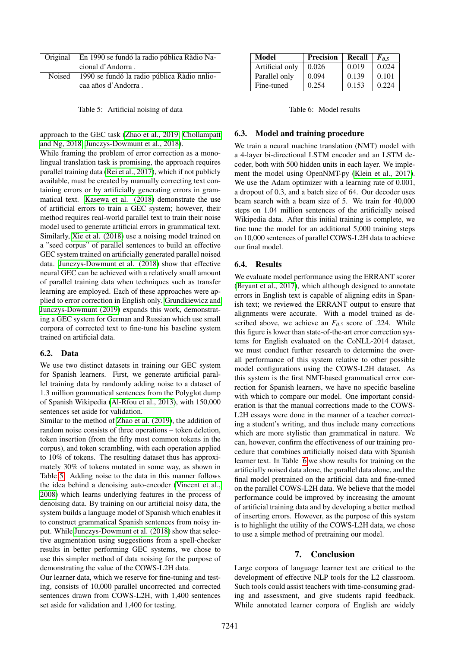| Original | En 1990 se fundó la radio pública Ràdio Na- |
|----------|---------------------------------------------|
|          | cional d'Andorra.                           |
| Noised   | 1990 se fundó la radio pública Ràdio nnlio- |
|          | caa años d'Andorra.                         |

<span id="page-3-0"></span>Table 5: Artificial noising of data

approach to the GEC task [\(Zhao et al., 2019;](#page-4-13) [Chollampatt](#page-4-14) [and Ng, 2018;](#page-4-14) [Junczys-Dowmunt et al., 2018\)](#page-4-15).

While framing the problem of error correction as a monolingual translation task is promising, the approach requires parallel training data [\(Rei et al., 2017\)](#page-4-16), which if not publicly available, must be created by manually correcting text containing errors or by artificially generating errors in grammatical text. [Kasewa et al. \(2018\)](#page-4-1) demonstrate the use of artificial errors to train a GEC system; however, their method requires real-world parallel text to train their noise model used to generate artificial errors in grammatical text. Similarly, [Xie et al. \(2018\)](#page-4-17) use a noising model trained on a "seed corpus" of parallel sentences to build an effective GEC system trained on artificially generated parallel noised data. [Junczys-Dowmunt et al. \(2018\)](#page-4-15) show that effective neural GEC can be achieved with a relatively small amount of parallel training data when techniques such as transfer learning are employed. Each of these approaches were applied to error correction in English only. [Grundkiewicz and](#page-4-18) [Junczys-Dowmunt \(2019\)](#page-4-18) expands this work, demonstrating a GEC system for German and Russian which use small corpora of corrected text to fine-tune his baseline system trained on artificial data.

### 6.2. Data

We use two distinct datasets in training our GEC system for Spanish learners. First, we generate artificial parallel training data by randomly adding noise to a dataset of 1.3 million grammatical sentences from the Polyglot dump of Spanish Wikipedia [\(Al-Rfou et al., 2013\)](#page-4-19), with 150,000 sentences set aside for validation.

Similar to the method of [Zhao et al. \(2019\)](#page-4-13), the addition of random noise consists of three operations – token deletion, token insertion (from the fifty most common tokens in the corpus), and token scrambling, with each operation applied to 10% of tokens. The resulting dataset thus has approximately 30% of tokens mutated in some way, as shown in Table [5.](#page-3-0) Adding noise to the data in this manner follows the idea behind a denoising auto-encoder [\(Vincent et al.,](#page-4-20) [2008\)](#page-4-20) which learns underlying features in the process of denoising data. By training on our artificial noisy data, the system builds a language model of Spanish which enables it to construct grammatical Spanish sentences from noisy input. While [Junczys-Dowmunt et al. \(2018\)](#page-4-15) show that selective augmentation using suggestions from a spell-checker results in better performing GEC systems, we chose to use this simpler method of data noising for the purpose of demonstrating the value of the COWS-L2H data.

Our learner data, which we reserve for fine-tuning and testing, consists of 10,000 parallel uncorrected and corrected sentences drawn from COWS-L2H, with 1,400 sentences set aside for validation and 1,400 for testing.

| Model           | <b>Precision</b> | Recall | $F_{0.5}$ |
|-----------------|------------------|--------|-----------|
| Artificial only | 0.026            | 0.019  | 0.024     |
| Parallel only   | 0.094            | 0.139  | 0.101     |
| Fine-tuned      | 0.254            | 0.153  | 0.224     |

<span id="page-3-1"></span>Table 6: Model results

#### 6.3. Model and training procedure

We train a neural machine translation (NMT) model with a 4-layer bi-directional LSTM encoder and an LSTM decoder, both with 500 hidden units in each layer. We implement the model using OpenNMT-py [\(Klein et al., 2017\)](#page-4-21). We use the Adam optimizer with a learning rate of 0.001, a dropout of 0.3, and a batch size of 64. Our decoder uses beam search with a beam size of 5. We train for 40,000 steps on 1.04 million sentences of the artificially noised Wikipedia data. After this initial training is complete, we fine tune the model for an additional 5,000 training steps on 10,000 sentences of parallel COWS-L2H data to achieve our final model.

#### 6.4. Results

We evaluate model performance using the ERRANT scorer [\(Bryant et al., 2017\)](#page-4-6), which although designed to annotate errors in English text is capable of aligning edits in Spanish text; we reviewed the ERRANT output to ensure that alignments were accurate. With a model trained as described above, we achieve an *F0.5* score of .224. While this figure is lower than state-of-the-art error correction systems for English evaluated on the CoNLL-2014 dataset, we must conduct further research to determine the overall performance of this system relative to other possible model configurations using the COWS-L2H dataset. As this system is the first NMT-based grammatical error correction for Spanish learners, we have no specific baseline with which to compare our model. One important consideration is that the manual corrections made to the COWS-L2H essays were done in the manner of a teacher correcting a student's writing, and thus include many corrections which are more stylistic than grammatical in nature. We can, however, confirm the effectiveness of our training procedure that combines artificially noised data with Spanish learner text. In Table [6](#page-3-1) we show results for training on the artificially noised data alone, the parallel data alone, and the final model pretrained on the artificial data and fine-tuned on the parallel COWS-L2H data. We believe that the model performance could be improved by increasing the amount of artificial training data and by developing a better method of inserting errors. However, as the purpose of this system is to highlight the utility of the COWS-L2H data, we chose to use a simple method of pretraining our model.

#### 7. Conclusion

Large corpora of language learner text are critical to the development of effective NLP tools for the L2 classroom. Such tools could assist teachers with time-consuming grading and assessment, and give students rapid feedback. While annotated learner corpora of English are widely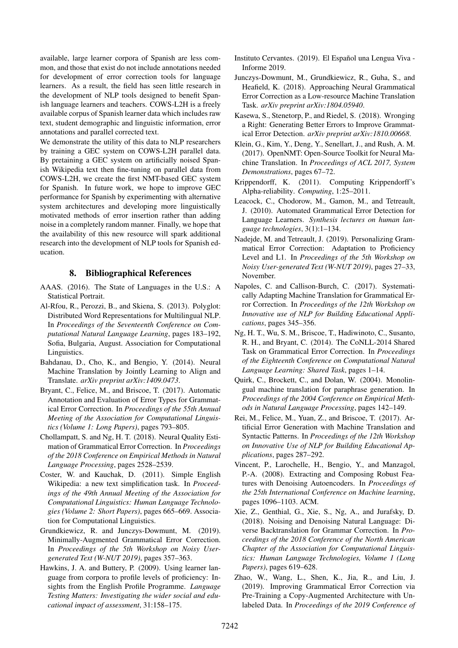available, large learner corpora of Spanish are less common, and those that exist do not include annotations needed for development of error correction tools for language learners. As a result, the field has seen little research in the development of NLP tools designed to benefit Spanish language learners and teachers. COWS-L2H is a freely available corpus of Spanish learner data which includes raw text, student demographic and linguistic information, error annotations and parallel corrected text.

We demonstrate the utility of this data to NLP researchers by training a GEC system on COWS-L2H parallel data. By pretaining a GEC system on artificially noised Spanish Wikipedia text then fine-tuning on parallel data from COWS-L2H, we create the first NMT-based GEC system for Spanish. In future work, we hope to improve GEC performance for Spanish by experimenting with alternative system architectures and developing more linguistically motivated methods of error insertion rather than adding noise in a completely random manner. Finally, we hope that the availability of this new resource will spark additional research into the development of NLP tools for Spanish education.

### 8. Bibliographical References

- <span id="page-4-2"></span>AAAS. (2016). The State of Languages in the U.S.: A Statistical Portrait.
- <span id="page-4-19"></span>Al-Rfou, R., Perozzi, B., and Skiena, S. (2013). Polyglot: Distributed Word Representations for Multilingual NLP. In *Proceedings of the Seventeenth Conference on Computational Natural Language Learning*, pages 183–192, Sofia, Bulgaria, August. Association for Computational Linguistics.
- <span id="page-4-12"></span>Bahdanau, D., Cho, K., and Bengio, Y. (2014). Neural Machine Translation by Jointly Learning to Align and Translate. *arXiv preprint arXiv:1409.0473*.
- <span id="page-4-6"></span>Bryant, C., Felice, M., and Briscoe, T. (2017). Automatic Annotation and Evaluation of Error Types for Grammatical Error Correction. In *Proceedings of the 55th Annual Meeting of the Association for Computational Linguistics (Volume 1: Long Papers)*, pages 793–805.
- <span id="page-4-14"></span>Chollampatt, S. and Ng, H. T. (2018). Neural Quality Estimation of Grammatical Error Correction. In *Proceedings of the 2018 Conference on Empirical Methods in Natural Language Processing*, pages 2528–2539.
- <span id="page-4-11"></span>Coster, W. and Kauchak, D. (2011). Simple English Wikipedia: a new text simplification task. In *Proceedings of the 49th Annual Meeting of the Association for Computational Linguistics: Human Language Technologies (Volume 2: Short Papers)*, pages 665–669. Association for Computational Linguistics.
- <span id="page-4-18"></span>Grundkiewicz, R. and Junczys-Dowmunt, M. (2019). Minimally-Augmented Grammatical Error Correction. In *Proceedings of the 5th Workshop on Noisy Usergenerated Text (W-NUT 2019)*, pages 357–363.
- <span id="page-4-0"></span>Hawkins, J. A. and Buttery, P. (2009). Using learner language from corpora to profile levels of proficiency: Insights from the English Profile Programme. *Language Testing Matters: Investigating the wider social and educational impact of assessment*, 31:158–175.
- <span id="page-4-3"></span>Instituto Cervantes. (2019). El Español una Lengua Viva -Informe 2019.
- <span id="page-4-15"></span>Junczys-Dowmunt, M., Grundkiewicz, R., Guha, S., and Heafield, K. (2018). Approaching Neural Grammatical Error Correction as a Low-resource Machine Translation Task. *arXiv preprint arXiv:1804.05940*.
- <span id="page-4-1"></span>Kasewa, S., Stenetorp, P., and Riedel, S. (2018). Wronging a Right: Generating Better Errors to Improve Grammatical Error Detection. *arXiv preprint arXiv:1810.00668*.
- <span id="page-4-21"></span>Klein, G., Kim, Y., Deng, Y., Senellart, J., and Rush, A. M. (2017). OpenNMT: Open-Source Toolkit for Neural Machine Translation. In *Proceedings of ACL 2017, System Demonstrations*, pages 67–72.
- <span id="page-4-5"></span>Krippendorff, K. (2011). Computing Krippendorff's Alpha-reliability. *Computing*, 1:25–2011.
- <span id="page-4-9"></span>Leacock, C., Chodorow, M., Gamon, M., and Tetreault, J. (2010). Automated Grammatical Error Detection for Language Learners. *Synthesis lectures on human language technologies*, 3(1):1–134.
- <span id="page-4-4"></span>Nadejde, M. and Tetreault, J. (2019). Personalizing Grammatical Error Correction: Adaptation to Proficiency Level and L1. In *Proceedings of the 5th Workshop on Noisy User-generated Text (W-NUT 2019)*, pages 27–33, November.
- <span id="page-4-8"></span>Napoles, C. and Callison-Burch, C. (2017). Systematically Adapting Machine Translation for Grammatical Error Correction. In *Proceedings of the 12th Workshop on Innovative use of NLP for Building Educational Applications*, pages 345–356.
- <span id="page-4-7"></span>Ng, H. T., Wu, S. M., Briscoe, T., Hadiwinoto, C., Susanto, R. H., and Bryant, C. (2014). The CoNLL-2014 Shared Task on Grammatical Error Correction. In *Proceedings of the Eighteenth Conference on Computational Natural Language Learning: Shared Task*, pages 1–14.
- <span id="page-4-10"></span>Quirk, C., Brockett, C., and Dolan, W. (2004). Monolingual machine translation for paraphrase generation. In *Proceedings of the 2004 Conference on Empirical Methods in Natural Language Processing*, pages 142–149.
- <span id="page-4-16"></span>Rei, M., Felice, M., Yuan, Z., and Briscoe, T. (2017). Artificial Error Generation with Machine Translation and Syntactic Patterns. In *Proceedings of the 12th Workshop on Innovative Use of NLP for Building Educational Applications*, pages 287–292.
- <span id="page-4-20"></span>Vincent, P., Larochelle, H., Bengio, Y., and Manzagol, P.-A. (2008). Extracting and Composing Robust Features with Denoising Autoencoders. In *Proceedings of the 25th International Conference on Machine learning*, pages 1096–1103. ACM.
- <span id="page-4-17"></span>Xie, Z., Genthial, G., Xie, S., Ng, A., and Jurafsky, D. (2018). Noising and Denoising Natural Language: Diverse Backtranslation for Grammar Correction. In *Proceedings of the 2018 Conference of the North American Chapter of the Association for Computational Linguistics: Human Language Technologies, Volume 1 (Long Papers)*, pages 619–628.
- <span id="page-4-13"></span>Zhao, W., Wang, L., Shen, K., Jia, R., and Liu, J. (2019). Improving Grammatical Error Correction via Pre-Training a Copy-Augmented Architecture with Unlabeled Data. In *Proceedings of the 2019 Conference of*